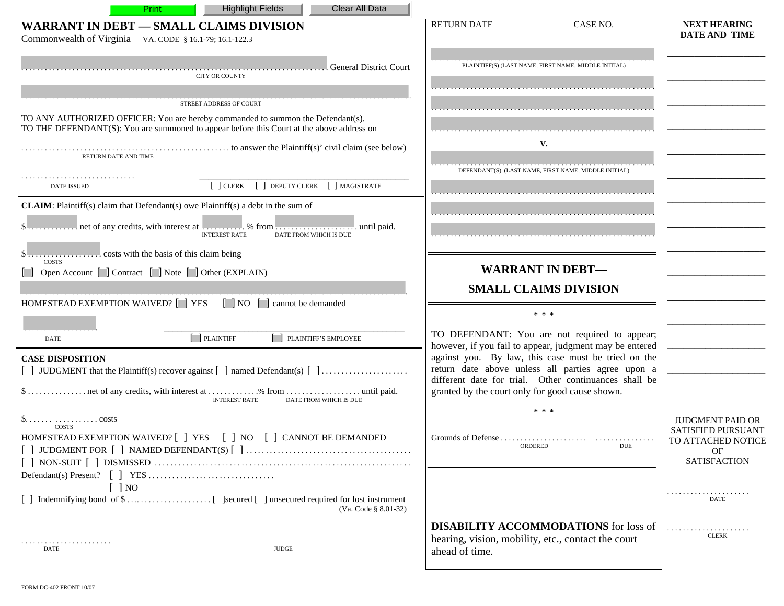| Clear All Data<br><b>Highlight Fields</b><br>Print                                                                                                                           |                                                                                                                                                                   |                                                                                                  |
|------------------------------------------------------------------------------------------------------------------------------------------------------------------------------|-------------------------------------------------------------------------------------------------------------------------------------------------------------------|--------------------------------------------------------------------------------------------------|
| <b>WARRANT IN DEBT - SMALL CLAIMS DIVISION</b><br>Commonwealth of Virginia VA. CODE § 16.1-79; 16.1-122.3                                                                    | <b>RETURN DATE</b><br>CASE NO.                                                                                                                                    | <b>NEXT HEARING</b><br><b>DATE AND TIME</b>                                                      |
| l General District Court<br><b>CITY OR COUNTY</b>                                                                                                                            | PLAINTIFF(S) (LAST NAME, FIRST NAME, MIDDLE INITIAL)                                                                                                              |                                                                                                  |
| STREET ADDRESS OF COURT                                                                                                                                                      |                                                                                                                                                                   |                                                                                                  |
| TO ANY AUTHORIZED OFFICER: You are hereby commanded to summon the Defendant(s).<br>TO THE DEFENDANT(S): You are summoned to appear before this Court at the above address on |                                                                                                                                                                   |                                                                                                  |
| RETURN DATE AND TIME                                                                                                                                                         | V.                                                                                                                                                                |                                                                                                  |
| [ ] CLERK [ ] DEPUTY CLERK [ ] MAGISTRATE<br><b>DATE ISSUED</b>                                                                                                              | DEFENDANT(S) (LAST NAME, FIRST NAME, MIDDLE INITIAL)                                                                                                              |                                                                                                  |
| <b>CLAIM:</b> Plaintiff(s) claim that Defendant(s) owe Plaintiff(s) a debt in the sum of<br><b>INTEREST RATE</b><br>DATE FROM WHICH IS DUE                                   |                                                                                                                                                                   |                                                                                                  |
| <b>COSTS</b>                                                                                                                                                                 |                                                                                                                                                                   |                                                                                                  |
| [ ] Open Account [ ] Contract [ ] Note [ ] Other (EXPLAIN)                                                                                                                   | <b>WARRANT IN DEBT-</b>                                                                                                                                           |                                                                                                  |
|                                                                                                                                                                              | <b>SMALL CLAIMS DIVISION</b>                                                                                                                                      |                                                                                                  |
| HOMESTEAD EXEMPTION WAIVED? [ ] YES [ ] NO [ ] cannot be demanded                                                                                                            | * * *                                                                                                                                                             |                                                                                                  |
| $\Box$ PLAINTIFF<br>[ ] PLAINTIFF'S EMPLOYEE<br><b>DATE</b>                                                                                                                  | TO DEFENDANT: You are not required to appear;<br>however, if you fail to appear, judgment may be entered                                                          |                                                                                                  |
| <b>CASE DISPOSITION</b><br>[ ] JUDGMENT that the Plaintiff(s) recover against [ ] named Defendant(s) [ ]                                                                     | against you. By law, this case must be tried on the<br>return date above unless all parties agree upon a<br>different date for trial. Other continuances shall be |                                                                                                  |
| <b>INTEREST RATE</b><br>DATE FROM WHICH IS DUE                                                                                                                               | granted by the court only for good cause shown.                                                                                                                   |                                                                                                  |
| costs<br>COSTS<br>HOMESTEAD EXEMPTION WAIVED? [ ] YES [ ] NO [ ] CANNOT BE DEMANDED                                                                                          | * * *<br>DUE                                                                                                                                                      | <b>JUDGMENT PAID OR</b><br><b>SATISFIED PURSUANT</b><br>TO ATTACHED NOTICE<br>OF<br>SATISFACTION |
| $\lceil$   NO                                                                                                                                                                |                                                                                                                                                                   |                                                                                                  |
| (Va. Code § 8.01-32)                                                                                                                                                         |                                                                                                                                                                   | DATE                                                                                             |
| .<br><b>JUDGE</b><br>DATE                                                                                                                                                    | <b>DISABILITY ACCOMMODATIONS</b> for loss of<br>hearing, vision, mobility, etc., contact the court<br>ahead of time.                                              | <b>CLERK</b>                                                                                     |